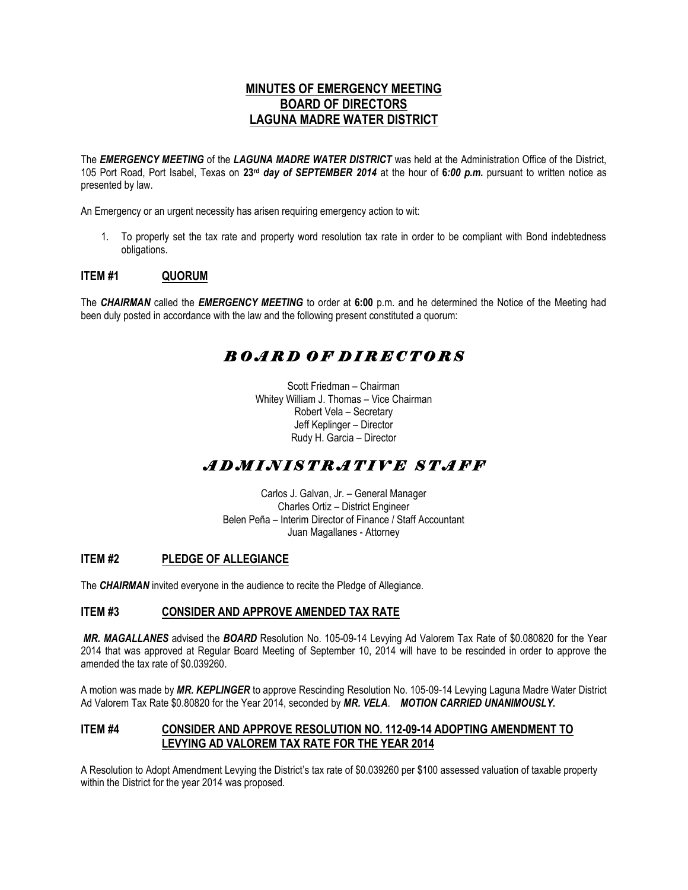### **MINUTES OF EMERGENCY MEETING BOARD OF DIRECTORS LAGUNA MADRE WATER DISTRICT**

The *EMERGENCY MEETING* of the *LAGUNA MADRE WATER DISTRICT* was held at the Administration Office of the District, 105 Port Road, Port Isabel, Texas on **23rd** *day of SEPTEMBER 2014* at the hour of **6***:00 p.m.* pursuant to written notice as presented by law.

An Emergency or an urgent necessity has arisen requiring emergency action to wit:

1. To properly set the tax rate and property word resolution tax rate in order to be compliant with Bond indebtedness obligations.

#### **ITEM #1 QUORUM**

The *CHAIRMAN* called the *EMERGENCY MEETING* to order at **6:00** p.m. and he determined the Notice of the Meeting had been duly posted in accordance with the law and the following present constituted a quorum:

# *B O A R D O F D I R E C T O R S*

Scott Friedman – Chairman Whitey William J. Thomas – Vice Chairman Robert Vela – Secretary Jeff Keplinger – Director Rudy H. Garcia – Director

## *A D M I N I S T R A T I V E S T A F F*

Carlos J. Galvan, Jr. – General Manager Charles Ortiz – District Engineer Belen Peña – Interim Director of Finance / Staff Accountant Juan Magallanes - Attorney

#### **ITEM #2 PLEDGE OF ALLEGIANCE**

The *CHAIRMAN* invited everyone in the audience to recite the Pledge of Allegiance.

#### **ITEM #3 CONSIDER AND APPROVE AMENDED TAX RATE**

*MR. MAGALLANES* advised the *BOARD* Resolution No. 105-09-14 Levying Ad Valorem Tax Rate of \$0.080820 for the Year 2014 that was approved at Regular Board Meeting of September 10, 2014 will have to be rescinded in order to approve the amended the tax rate of \$0.039260.

A motion was made by *MR. KEPLINGER* to approve Rescinding Resolution No. 105-09-14 Levying Laguna Madre Water District Ad Valorem Tax Rate \$0.80820 for the Year 2014, seconded by *MR. VELA*. *MOTION CARRIED UNANIMOUSLY.*

#### **ITEM #4 CONSIDER AND APPROVE RESOLUTION NO. 112-09-14 ADOPTING AMENDMENT TO LEVYING AD VALOREM TAX RATE FOR THE YEAR 2014**

A Resolution to Adopt Amendment Levying the District's tax rate of \$0.039260 per \$100 assessed valuation of taxable property within the District for the year 2014 was proposed.